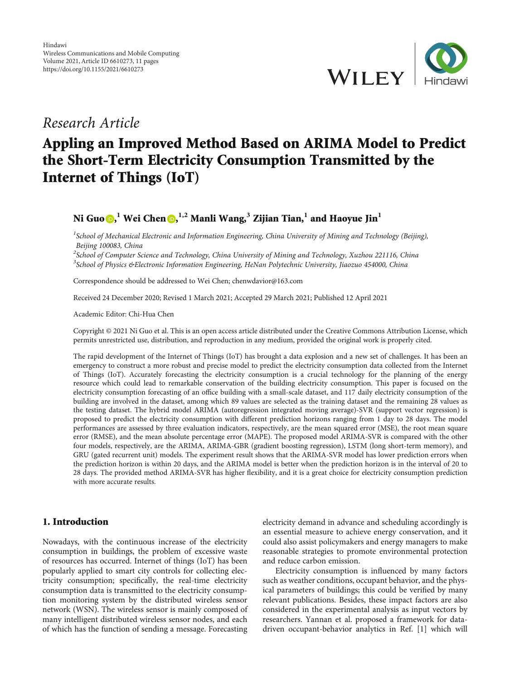

# Research Article

# Appling an Improved Method Based on ARIMA Model to Predict the Short-Term Electricity Consumption Transmitted by the Internet of Things (IoT)

<code>Ni Guo@[,](https://orcid.org/0000-0002-7663-278X) $^1$  Wei Chen@, $^{1,2}$  Manli Wang, $^3$  Zijian Tian, $^1$  and Haoyue Jin $^1$ </code>

<sup>1</sup>School of Mechanical Electronic and Information Engineering, China University of Mining and Technology (Beijing), Beijing 100083, China

 $^2$ School of Computer Science and Technology, China University of Mining and Technology, Xuzhou 221116, China <sup>3</sup>School of Physics &Electronic Information Engineering, HeNan Polytechnic University, Jiaozuo 454000, China

Correspondence should be addressed to Wei Chen; chenwdavior@163.com

Received 24 December 2020; Revised 1 March 2021; Accepted 29 March 2021; Published 12 April 2021

Academic Editor: Chi-Hua Chen

Copyright © 2021 Ni Guo et al. This is an open access article distributed under the [Creative Commons Attribution License](https://creativecommons.org/licenses/by/4.0/), which permits unrestricted use, distribution, and reproduction in any medium, provided the original work is properly cited.

The rapid development of the Internet of Things (IoT) has brought a data explosion and a new set of challenges. It has been an emergency to construct a more robust and precise model to predict the electricity consumption data collected from the Internet of Things (IoT). Accurately forecasting the electricity consumption is a crucial technology for the planning of the energy resource which could lead to remarkable conservation of the building electricity consumption. This paper is focused on the electricity consumption forecasting of an office building with a small-scale dataset, and 117 daily electricity consumption of the building are involved in the dataset, among which 89 values are selected as the training dataset and the remaining 28 values as the testing dataset. The hybrid model ARIMA (autoregression integrated moving average)-SVR (support vector regression) is proposed to predict the electricity consumption with different prediction horizons ranging from 1 day to 28 days. The model performances are assessed by three evaluation indicators, respectively, are the mean squared error (MSE), the root mean square error (RMSE), and the mean absolute percentage error (MAPE). The proposed model ARIMA-SVR is compared with the other four models, respectively, are the ARIMA, ARIMA-GBR (gradient boosting regression), LSTM (long short-term memory), and GRU (gated recurrent unit) models. The experiment result shows that the ARIMA-SVR model has lower prediction errors when the prediction horizon is within 20 days, and the ARIMA model is better when the prediction horizon is in the interval of 20 to 28 days. The provided method ARIMA-SVR has higher flexibility, and it is a great choice for electricity consumption prediction with more accurate results.

# 1. Introduction

Nowadays, with the continuous increase of the electricity consumption in buildings, the problem of excessive waste of resources has occurred. Internet of things (IoT) has been popularly applied to smart city controls for collecting electricity consumption; specifically, the real-time electricity consumption data is transmitted to the electricity consumption monitoring system by the distributed wireless sensor network (WSN). The wireless sensor is mainly composed of many intelligent distributed wireless sensor nodes, and each of which has the function of sending a message. Forecasting electricity demand in advance and scheduling accordingly is an essential measure to achieve energy conservation, and it could also assist policymakers and energy managers to make reasonable strategies to promote environmental protection and reduce carbon emission.

Electricity consumption is influenced by many factors such as weather conditions, occupant behavior, and the physical parameters of buildings; this could be verified by many relevant publications. Besides, these impact factors are also considered in the experimental analysis as input vectors by researchers. Yannan et al. proposed a framework for datadriven occupant-behavior analytics in Ref. [\[1\]](#page-10-0) which will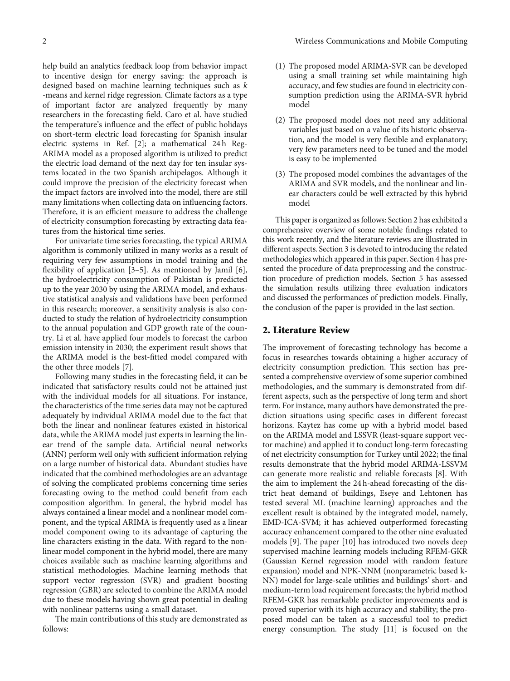help build an analytics feedback loop from behavior impact to incentive design for energy saving: the approach is designed based on machine learning techniques such as *k* -means and kernel ridge regression. Climate factors as a type of important factor are analyzed frequently by many researchers in the forecasting field. Caro et al. have studied the temperature's influence and the effect of public holidays on short-term electric load forecasting for Spanish insular electric systems in Ref. [[2](#page-10-0)]; a mathematical 24h Reg-ARIMA model as a proposed algorithm is utilized to predict the electric load demand of the next day for ten insular systems located in the two Spanish archipelagos. Although it could improve the precision of the electricity forecast when the impact factors are involved into the model, there are still many limitations when collecting data on influencing factors. Therefore, it is an efficient measure to address the challenge of electricity consumption forecasting by extracting data features from the historical time series.

For univariate time series forecasting, the typical ARIMA algorithm is commonly utilized in many works as a result of requiring very few assumptions in model training and the flexibility of application [\[3](#page-10-0)–[5\]](#page-10-0). As mentioned by Jamil [[6](#page-10-0)], the hydroelectricity consumption of Pakistan is predicted up to the year 2030 by using the ARIMA model, and exhaustive statistical analysis and validations have been performed in this research; moreover, a sensitivity analysis is also conducted to study the relation of hydroelectricity consumption to the annual population and GDP growth rate of the country. Li et al. have applied four models to forecast the carbon emission intensity in 2030; the experiment result shows that the ARIMA model is the best-fitted model compared with the other three models [[7\]](#page-10-0).

Following many studies in the forecasting field, it can be indicated that satisfactory results could not be attained just with the individual models for all situations. For instance, the characteristics of the time series data may not be captured adequately by individual ARIMA model due to the fact that both the linear and nonlinear features existed in historical data, while the ARIMA model just experts in learning the linear trend of the sample data. Artificial neural networks (ANN) perform well only with sufficient information relying on a large number of historical data. Abundant studies have indicated that the combined methodologies are an advantage of solving the complicated problems concerning time series forecasting owing to the method could benefit from each composition algorithm. In general, the hybrid model has always contained a linear model and a nonlinear model component, and the typical ARIMA is frequently used as a linear model component owing to its advantage of capturing the line characters existing in the data. With regard to the nonlinear model component in the hybrid model, there are many choices available such as machine learning algorithms and statistical methodologies. Machine learning methods that support vector regression (SVR) and gradient boosting regression (GBR) are selected to combine the ARIMA model due to these models having shown great potential in dealing with nonlinear patterns using a small dataset.

The main contributions of this study are demonstrated as follows:

- (1) The proposed model ARIMA-SVR can be developed using a small training set while maintaining high accuracy, and few studies are found in electricity consumption prediction using the ARIMA-SVR hybrid model
- (2) The proposed model does not need any additional variables just based on a value of its historic observation, and the model is very flexible and explanatory; very few parameters need to be tuned and the model is easy to be implemented
- (3) The proposed model combines the advantages of the ARIMA and SVR models, and the nonlinear and linear characters could be well extracted by this hybrid model

This paper is organized as follows: Section 2 has exhibited a comprehensive overview of some notable findings related to this work recently, and the literature reviews are illustrated in different aspects. Section [3](#page-2-0) is devoted to introducing the related methodologies which appeared in this paper. Section [4](#page-3-0) has presented the procedure of data preprocessing and the construction procedure of prediction models. Section [5](#page-8-0) has assessed the simulation results utilizing three evaluation indicators and discussed the performances of prediction models. Finally, the conclusion of the paper is provided in the last section.

## 2. Literature Review

The improvement of forecasting technology has become a focus in researches towards obtaining a higher accuracy of electricity consumption prediction. This section has presented a comprehensive overview of some superior combined methodologies, and the summary is demonstrated from different aspects, such as the perspective of long term and short term. For instance, many authors have demonstrated the prediction situations using specific cases in different forecast horizons. Kaytez has come up with a hybrid model based on the ARIMA model and LSSVR (least-square support vector machine) and applied it to conduct long-term forecasting of net electricity consumption for Turkey until 2022; the final results demonstrate that the hybrid model ARIMA-LSSVM can generate more realistic and reliable forecasts [\[8](#page-10-0)]. With the aim to implement the 24 h-ahead forecasting of the district heat demand of buildings, Eseye and Lehtonen has tested several ML (machine learning) approaches and the excellent result is obtained by the integrated model, namely, EMD-ICA-SVM; it has achieved outperformed forecasting accuracy enhancement compared to the other nine evaluated models [\[9\]](#page-10-0). The paper [[10](#page-10-0)] has introduced two novels deep supervised machine learning models including RFEM-GKR (Gaussian Kernel regression model with random feature expansion) model and NPK-NNM (nonparametric based k-NN) model for large-scale utilities and buildings' short- and medium-term load requirement forecasts; the hybrid method RFEM-GKR has remarkable predictor improvements and is proved superior with its high accuracy and stability; the proposed model can be taken as a successful tool to predict energy consumption. The study [\[11\]](#page-10-0) is focused on the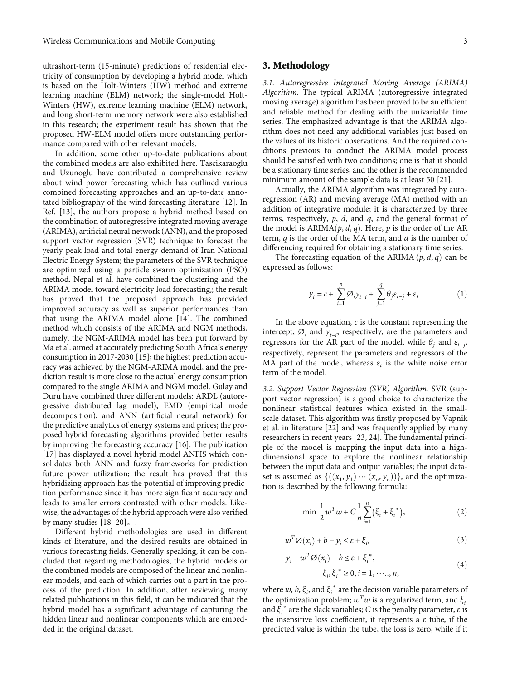<span id="page-2-0"></span>ultrashort-term (15-minute) predictions of residential electricity of consumption by developing a hybrid model which is based on the Holt-Winters (HW) method and extreme learning machine (ELM) network; the single-model Holt-Winters (HW), extreme learning machine (ELM) network, and long short-term memory network were also established in this research; the experiment result has shown that the proposed HW-ELM model offers more outstanding performance compared with other relevant models.

In addition, some other up-to-date publications about the combined models are also exhibited here. Tascikaraoglu and Uzunoglu have contributed a comprehensive review about wind power forecasting which has outlined various combined forecasting approaches and an up-to-date annotated bibliography of the wind forecasting literature [\[12\]](#page-10-0). In Ref. [\[13\]](#page-10-0), the authors propose a hybrid method based on the combination of autoregressive integrated moving average (ARIMA), artificial neural network (ANN), and the proposed support vector regression (SVR) technique to forecast the yearly peak load and total energy demand of Iran National Electric Energy System; the parameters of the SVR technique are optimized using a particle swarm optimization (PSO) method. Nepal et al. have combined the clustering and the ARIMA model toward electricity load forecasting,; the result has proved that the proposed approach has provided improved accuracy as well as superior performances than that using the ARIMA model alone [[14](#page-10-0)]. The combined method which consists of the ARIMA and NGM methods, namely, the NGM-ARIMA model has been put forward by Ma et al. aimed at accurately predicting South Africa's energy consumption in 2017-2030 [\[15\]](#page-10-0); the highest prediction accuracy was achieved by the NGM-ARIMA model, and the prediction result is more close to the actual energy consumption compared to the single ARIMA and NGM model. Gulay and Duru have combined three different models: ARDL (autoregressive distributed lag model), EMD (empirical mode decomposition), and ANN (artificial neural network) for the predictive analytics of energy systems and prices; the proposed hybrid forecasting algorithms provided better results by improving the forecasting accuracy [\[16](#page-10-0)]. The publication [\[17](#page-10-0)] has displayed a novel hybrid model ANFIS which consolidates both ANN and fuzzy frameworks for prediction future power utilization; the result has proved that this hybridizing approach has the potential of improving prediction performance since it has more significant accuracy and leads to smaller errors contrasted with other models. Likewise, the advantages of the hybrid approach were also verified by many studies [\[18](#page-10-0)–[20](#page-10-0)]。.

Different hybrid methodologies are used in different kinds of literature, and the desired results are obtained in various forecasting fields. Generally speaking, it can be concluded that regarding methodologies, the hybrid models or the combined models are composed of the linear and nonlinear models, and each of which carries out a part in the process of the prediction. In addition, after reviewing many related publications in this field, it can be indicated that the hybrid model has a significant advantage of capturing the hidden linear and nonlinear components which are embedded in the original dataset.

## 3. Methodology

3.1. Autoregressive Integrated Moving Average (ARIMA) Algorithm. The typical ARIMA (autoregressive integrated moving average) algorithm has been proved to be an efficient and reliable method for dealing with the univariable time series. The emphasized advantage is that the ARIMA algorithm does not need any additional variables just based on the values of its historic observations. And the required conditions previous to conduct the ARIMA model process should be satisfied with two conditions; one is that it should be a stationary time series, and the other is the recommended minimum amount of the sample data is at least 50 [\[21\]](#page-10-0).

Actually, the ARIMA algorithm was integrated by autoregression (AR) and moving average (MA) method with an addition of integrative module; it is characterized by three terms, respectively, *p*, *d*, and *q*, and the general format of the model is  $ARIMA(p, d, q)$ . Here, p is the order of the AR term, *q* is the order of the MA term, and *d* is the number of differencing required for obtaining a stationary time series.

The forecasting equation of the ARIMA  $(p, d, q)$  can be expressed as follows:

$$
y_t = c + \sum_{i=1}^p \emptyset_i y_{t-i} + \sum_{j=1}^q \theta_j \varepsilon_{t-j} + \varepsilon_t.
$$
 (1)

In the above equation,  $c$  is the constant representing the intercept,  $\emptyset$ <sub>*i*</sub> and  $\hat{y}$ <sub>*t*−*i*</sub>, respectively, are the parameters and regressors for the AR part of the model, while  $\theta_j$  and  $\varepsilon_{t-j}$ , respectively, represent the parameters and regressors of the MA part of the model, whereas  $\varepsilon_t$  is the white noise error term of the model.

3.2. Support Vector Regression (SVR) Algorithm. SVR (support vector regression) is a good choice to characterize the nonlinear statistical features which existed in the smallscale dataset. This algorithm was firstly proposed by Vapnik et al. in literature [[22](#page-10-0)] and was frequently applied by many researchers in recent years [[23](#page-10-0), [24\]](#page-10-0). The fundamental principle of the model is mapping the input data into a highdimensional space to explore the nonlinear relationship between the input data and output variables; the input dataset is assumed as  $\{((x_1, y_1) \cdots (x_n, y_n))\}$ , and the optimization is described by the following formula:

$$
\min \frac{1}{2} w^T w + C \frac{1}{n} \sum_{i=1}^n (\xi_i + \xi_i^*), \tag{2}
$$

$$
w^T \varnothing(x_i) + b - y_i \le \varepsilon + \xi_i,\tag{3}
$$

$$
y_i - w^T \varnothing(x_i) - b \le \varepsilon + \xi_i^*,
$$
  
\n
$$
\xi, \xi^* > 0, i = 1, \dots, n,
$$
\n(4)

$$
\xi_i, \xi_i^* \geq 0, i = 1, \dots, n,
$$

where  $w$ ,  $b$ ,  $\xi$ <sub>*i*</sub>, and  $\xi$ <sup>\*</sup> are the decision variable parameters of the optimization problem;  $w^Tw$  is a regularized term, and  $\xi_i$ and  $\tilde{\xi}_i^*$  are the slack variables; *C* is the penalty parameter,  $\varepsilon$  is the insensitive loss coefficient, it represents a *ε* tube, if the predicted value is within the tube, the loss is zero, while if it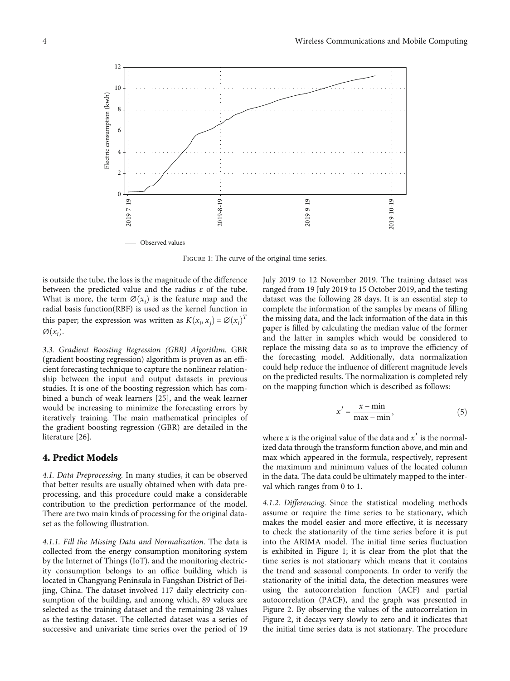<span id="page-3-0"></span>

Figure 1: The curve of the original time series.

is outside the tube, the loss is the magnitude of the difference between the predicted value and the radius *ε* of the tube. What is more, the term  $\mathcal{O}(x_i)$  is the feature map and the radial basis function (RBF) is used as the kernel function in radial basis function(RBF) is used as the kernel function in this paper; the expression was written as  $K(x_i, x_j) = \varnothing(x_i)$ *T*  $\varnothing(x_i)$ .

3.3. Gradient Boosting Regression (GBR) Algorithm. GBR (gradient boosting regression) algorithm is proven as an efficient forecasting technique to capture the nonlinear relationship between the input and output datasets in previous studies. It is one of the boosting regression which has combined a bunch of weak learners [\[25\]](#page-10-0), and the weak learner would be increasing to minimize the forecasting errors by iteratively training. The main mathematical principles of the gradient boosting regression (GBR) are detailed in the literature [[26](#page-10-0)].

### 4. Predict Models

4.1. Data Preprocessing. In many studies, it can be observed that better results are usually obtained when with data preprocessing, and this procedure could make a considerable contribution to the prediction performance of the model. There are two main kinds of processing for the original dataset as the following illustration.

4.1.1. Fill the Missing Data and Normalization. The data is collected from the energy consumption monitoring system by the Internet of Things (IoT), and the monitoring electricity consumption belongs to an office building which is located in Changyang Peninsula in Fangshan District of Beijing, China. The dataset involved 117 daily electricity consumption of the building, and among which, 89 values are selected as the training dataset and the remaining 28 values as the testing dataset. The collected dataset was a series of successive and univariate time series over the period of 19

July 2019 to 12 November 2019. The training dataset was ranged from 19 July 2019 to 15 October 2019, and the testing dataset was the following 28 days. It is an essential step to complete the information of the samples by means of filling the missing data, and the lack information of the data in this paper is filled by calculating the median value of the former and the latter in samples which would be considered to replace the missing data so as to improve the efficiency of the forecasting model. Additionally, data normalization could help reduce the influence of different magnitude levels on the predicted results. The normalization is completed rely on the mapping function which is described as follows:

$$
x' = \frac{x - \min}{\max - \min},
$$
 (5)

where *x* is the original value of the data and  $x'$  is the normalized data through the transform function above, and min and max which appeared in the formula, respectively, represent the maximum and minimum values of the located column in the data. The data could be ultimately mapped to the interval which ranges from 0 to 1.

4.1.2. Differencing. Since the statistical modeling methods assume or require the time series to be stationary, which makes the model easier and more effective, it is necessary to check the stationarity of the time series before it is put into the ARIMA model. The initial time series fluctuation is exhibited in Figure 1; it is clear from the plot that the time series is not stationary which means that it contains the trend and seasonal components. In order to verify the stationarity of the initial data, the detection measures were using the autocorrelation function (ACF) and partial autocorrelation (PACF), and the graph was presented in Figure [2.](#page-4-0) By observing the values of the autocorrelation in Figure [2,](#page-4-0) it decays very slowly to zero and it indicates that the initial time series data is not stationary. The procedure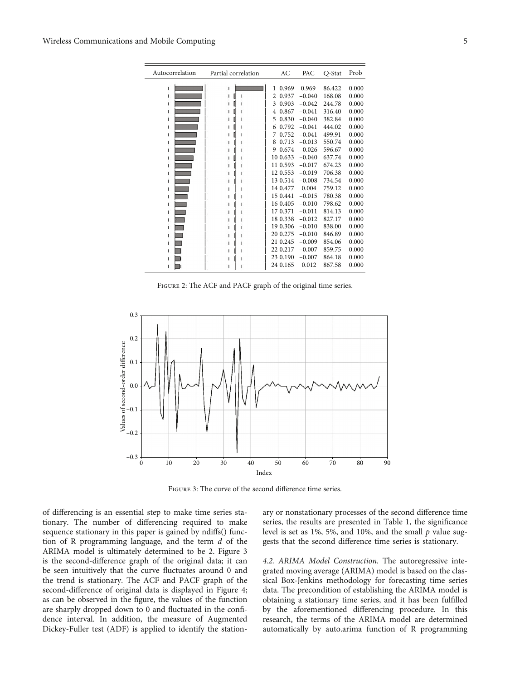<span id="page-4-0"></span>

| Autocorrelation | AC | PAC         | Q-Stat   | Prob   |       |
|-----------------|----|-------------|----------|--------|-------|
| L               | T  | 0.969<br>1. | 0.969    | 86.422 | 0.000 |
| T               |    | 0.937<br>2  | $-0.040$ | 168.08 | 0.000 |
| ı               |    | 0.903<br>3  | $-0.042$ | 244.78 | 0.000 |
| T               |    | 0.867<br>4  | $-0.041$ | 316.40 | 0.000 |
| ı               |    | 0.830<br>5  | $-0.040$ | 382.84 | 0.000 |
| ı               |    | 0.792<br>6  | $-0.041$ | 444.02 | 0.000 |
| ı               |    | 0.752<br>7  | $-0.041$ | 499.91 | 0.000 |
| ı               |    | 0.713<br>8  | $-0.013$ | 550.74 | 0.000 |
| ı               |    | 0.674<br>9  | $-0.026$ | 596.67 | 0.000 |
| T               |    | 10 0.633    | $-0.040$ | 637.74 | 0.000 |
| L               |    | 11 0.593    | $-0.017$ | 674.23 | 0.000 |
| T               |    | 120.553     | $-0.019$ | 706.38 | 0.000 |
| ı               |    | 13 0.514    | $-0.008$ | 734.54 | 0.000 |
| ı               |    | 14 0.477    | 0.004    | 759.12 | 0.000 |
| ı               |    | 15 0.441    | $-0.015$ | 780.38 | 0.000 |
| ı               |    | 16 0.405    | $-0.010$ | 798.62 | 0.000 |
| I               |    | 17 0.371    | $-0.011$ | 814.13 | 0.000 |
| T               |    | 18 0.338    | $-0.012$ | 827.17 | 0.000 |
| ı               |    | 19 0.306    | $-0.010$ | 838.00 | 0.000 |
| T               |    | 20 0.275    | $-0.010$ | 846.89 | 0.000 |
| ı               |    | 21 0.245    | $-0.009$ | 854.06 | 0.000 |
| ı               |    | 22 0.217    | $-0.007$ | 859.75 | 0.000 |
| ı               |    | 23 0.190    | $-0.007$ | 864.18 | 0.000 |
| ı               |    | 24 0.165    | 0.012    | 867.58 | 0.000 |

FIGURE 2: The ACF and PACF graph of the original time series.



Figure 3: The curve of the second difference time series.

of differencing is an essential step to make time series stationary. The number of differencing required to make sequence stationary in this paper is gained by ndiffs() function of R programming language, and the term *d* of the ARIMA model is ultimately determined to be 2. Figure 3 is the second-difference graph of the original data; it can be seen intuitively that the curve fluctuates around 0 and the trend is stationary. The ACF and PACF graph of the second-difference of original data is displayed in Figure [4;](#page-5-0) as can be observed in the figure, the values of the function are sharply dropped down to 0 and fluctuated in the confidence interval. In addition, the measure of Augmented Dickey-Fuller test (ADF) is applied to identify the station-

ary or nonstationary processes of the second difference time series, the results are presented in Table [1,](#page-5-0) the significance level is set as 1%, 5%, and 10%, and the small *p* value suggests that the second difference time series is stationary.

4.2. ARIMA Model Construction. The autoregressive integrated moving average (ARIMA) model is based on the classical Box-Jenkins methodology for forecasting time series data. The precondition of establishing the ARIMA model is obtaining a stationary time series, and it has been fulfilled by the aforementioned differencing procedure. In this research, the terms of the ARIMA model are determined automatically by auto.arima function of R programming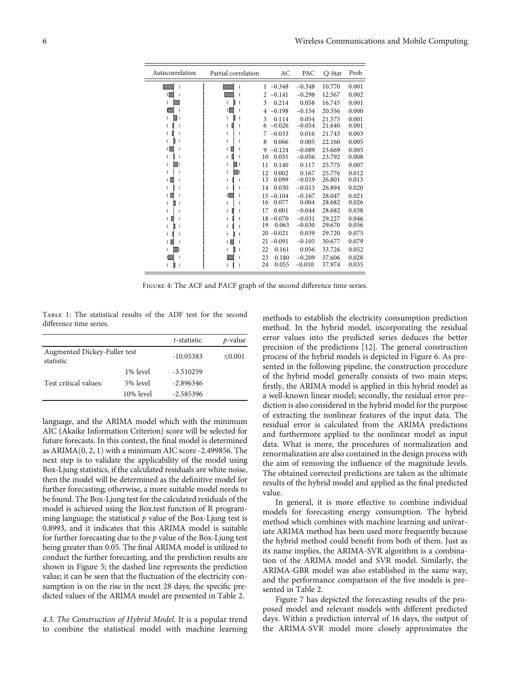<span id="page-5-0"></span>

| Autocorrelation | Partial correlation | AC            | PAC      | Q-Stat | Prob  |
|-----------------|---------------------|---------------|----------|--------|-------|
|                 |                     | $-0.348$<br>1 | $-0.348$ | 10.770 | 0.001 |
|                 |                     | 2<br>$-0.141$ | $-0.298$ | 12.567 | 0.002 |
|                 |                     | 3<br>0.214    | 0.058    | 16.745 | 0.001 |
|                 |                     | $-0.198$<br>4 | $-0.154$ | 20.356 | 0.000 |
|                 |                     | 5<br>0.114    | 0.054    | 21.575 | 0.001 |
|                 |                     | 6<br>$-0.026$ | $-0.054$ | 21.640 | 0.001 |
|                 |                     | $-0.033$<br>7 | 0.016    | 21.743 | 0.003 |
|                 |                     | 8<br>0.066    | 0.005    | 22.160 | 0.005 |
|                 |                     | 9<br>$-0.124$ | $-0.089$ | 23.669 | 0.005 |
|                 |                     | 10<br>0.035   | $-0.056$ | 23.792 | 0.008 |
|                 |                     | 0.140<br>11   | 0.117    | 25.775 | 0.007 |
|                 |                     | 0.002<br>12   | 0.167    | 25.776 | 0.012 |
|                 |                     | 13<br>0.099   | $-0.019$ | 26.801 | 0.013 |
| ı               |                     | 0.030<br>14   | $-0.013$ | 26.894 | 0.020 |
| I.              |                     | $15 - 0.104$  | $-0.167$ | 28.047 | 0.021 |
|                 |                     | 16<br>0.077   | 0.004    | 28.682 | 0.026 |
|                 |                     | 0.001<br>17   | $-0.044$ | 28.682 | 0.038 |
|                 |                     | $18 - 0.070$  | $-0.031$ | 29.227 | 0.046 |
|                 |                     | 19<br>0.063   | $-0.030$ | 29.670 | 0.056 |
|                 |                     | $20 - 0.021$  | 0.039    | 29.720 | 0.075 |
|                 |                     | $21 - 0.091$  | $-0.105$ | 30.677 | 0.079 |
|                 |                     | 0.161<br>22   | 0.056    | 33.726 | 0.052 |
|                 |                     | 23<br>0.180   | $-0.209$ | 37.606 | 0.028 |
|                 |                     | 24<br>0.055   | $-0.010$ | 37.974 | 0.035 |

FIGURE 4: The ACF and PACF graph of the second difference time series.

Table 1: The statistical results of the ADF test for the second difference time series.

|                                           |              | t-statistic | $p$ -value |
|-------------------------------------------|--------------|-------------|------------|
| Augmented Dickey-Fuller test<br>statistic |              | $-10.05383$ | < 0.001    |
|                                           | 1% level     | $-3.510259$ |            |
| Test critical values:                     | 5% level     | $-2.896346$ |            |
|                                           | $10\%$ level | $-2.585396$ |            |

language, and the ARIMA model which with the minimum AIC (Akaike Information Criterion) score will be selected for future forecasts. In this context, the final model is determined as  $ARIMA(0, 2, 1)$  with a minimum AIC score -2.499856. The next step is to validate the applicability of the model using Box-Ljung statistics, if the calculated residuals are white noise, then the model will be determined as the definitive model for further forecasting; otherwise, a more suitable model needs to be found. The Box-Ljung test for the calculated residuals of the model is achieved using the Box.test function of R programming language; the statistical  $p$  value of the Box-Ljung test is 0.8993, and it indicates that this ARIMA model is suitable for further forecasting due to the *p* value of the Box-Ljung test being greater than 0.05. The final ARIMA model is utilized to conduct the further forecasting, and the prediction results are shown in Figure [5](#page-6-0); the dashed line represents the prediction value; it can be seen that the fluctuation of the electricity consumption is on the rise in the next 28 days; the specific predicted values of the ARIMA model are presented in Table [2](#page-6-0).

4.3. The Construction of Hybrid Model. It is a popular trend to combine the statistical model with machine learning methods to establish the electricity consumption prediction method. In the hybrid model, incorporating the residual error values into the predicted series deduces the better precision of the predictions [[12](#page-10-0)]. The general construction process of the hybrid models is depicted in Figure [6.](#page-7-0) As presented in the following pipeline, the construction procedure of the hybrid model generally consists of two main steps; firstly, the ARIMA model is applied in this hybrid model as a well-known linear model; secondly, the residual error prediction is also considered in the hybrid model for the purpose of extracting the nonlinear features of the input data. The residual error is calculated from the ARIMA predictions and furthermore applied to the nonlinear model as input data. What is more, the procedures of normalization and renormalization are also contained in the design process with the aim of removing the influence of the magnitude levels. The obtained corrected predictions are taken as the ultimate results of the hybrid model and applied as the final predicted value.

In general, it is more effective to combine individual models for forecasting energy consumption. The hybrid method which combines with machine learning and univariate ARIMA method has been used more frequently because the hybrid method could benefit from both of them. Just as its name implies, the ARIMA-SVR algorithm is a combination of the ARIMA model and SVR model. Similarly, the ARIMA-GBR model was also established in the same way, and the performance comparison of the five models is presented in Table [2.](#page-6-0)

Figure [7](#page-7-0) has depicted the forecasting results of the proposed model and relevant models with different predicted days. Within a prediction interval of 16 days, the output of the ARIMA-SVR model more closely approximates the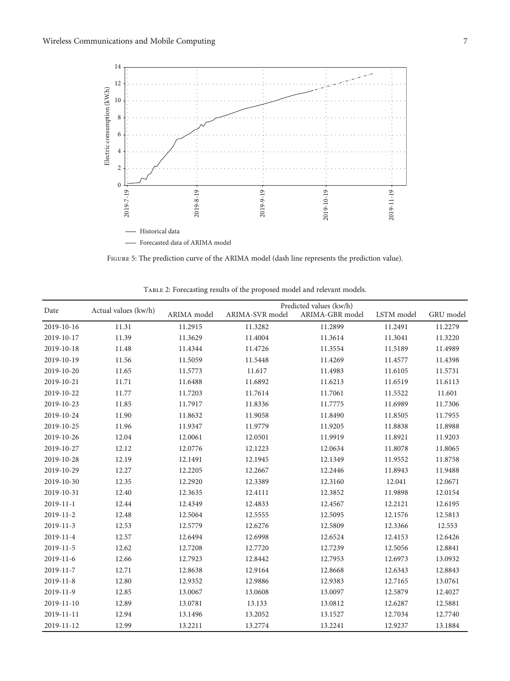<span id="page-6-0"></span>

Figure 5: The prediction curve of the ARIMA model (dash line represents the prediction value).

| Date            | Actual values (kw/h) | Predicted values (kw/h) |                 |                 |            |           |
|-----------------|----------------------|-------------------------|-----------------|-----------------|------------|-----------|
|                 |                      | ARIMA model             | ARIMA-SVR model | ARIMA-GBR model | LSTM model | GRU model |
| 2019-10-16      | 11.31                | 11.2915                 | 11.3282         | 11.2899         | 11.2491    | 11.2279   |
| 2019-10-17      | 11.39                | 11.3629                 | 11.4004         | 11.3614         | 11.3041    | 11.3220   |
| 2019-10-18      | 11.48                | 11.4344                 | 11.4726         | 11.3554         | 11.5189    | 11.4989   |
| 2019-10-19      | 11.56                | 11.5059                 | 11.5448         | 11.4269         | 11.4577    | 11.4398   |
| 2019-10-20      | 11.65                | 11.5773                 | 11.617          | 11.4983         | 11.6105    | 11.5731   |
| 2019-10-21      | 11.71                | 11.6488                 | 11.6892         | 11.6213         | 11.6519    | 11.6113   |
| 2019-10-22      | 11.77                | 11.7203                 | 11.7614         | 11.7061         | 11.5522    | 11.601    |
| 2019-10-23      | 11.85                | 11.7917                 | 11.8336         | 11.7775         | 11.6989    | 11.7306   |
| 2019-10-24      | 11.90                | 11.8632                 | 11.9058         | 11.8490         | 11.8505    | 11.7955   |
| 2019-10-25      | 11.96                | 11.9347                 | 11.9779         | 11.9205         | 11.8838    | 11.8988   |
| 2019-10-26      | 12.04                | 12.0061                 | 12.0501         | 11.9919         | 11.8921    | 11.9203   |
| 2019-10-27      | 12.12                | 12.0776                 | 12.1223         | 12.0634         | 11.8078    | 11.8065   |
| 2019-10-28      | 12.19                | 12.1491                 | 12.1945         | 12.1349         | 11.9552    | 11.8758   |
| 2019-10-29      | 12.27                | 12.2205                 | 12.2667         | 12.2446         | 11.8943    | 11.9488   |
| 2019-10-30      | 12.35                | 12.2920                 | 12.3389         | 12.3160         | 12.041     | 12.0671   |
| 2019-10-31      | 12.40                | 12.3635                 | 12.4111         | 12.3852         | 11.9898    | 12.0154   |
| $2019 - 11 - 1$ | 12.44                | 12.4349                 | 12.4833         | 12.4567         | 12.2121    | 12.6195   |
| $2019 - 11 - 2$ | 12.48                | 12.5064                 | 12.5555         | 12.5095         | 12.1576    | 12.5813   |
| 2019-11-3       | 12.53                | 12.5779                 | 12.6276         | 12.5809         | 12.3366    | 12.553    |
| 2019-11-4       | 12.57                | 12.6494                 | 12.6998         | 12.6524         | 12.4153    | 12.6426   |
| 2019-11-5       | 12.62                | 12.7208                 | 12.7720         | 12.7239         | 12.5056    | 12.8841   |
| $2019 - 11 - 6$ | 12.66                | 12.7923                 | 12.8442         | 12.7953         | 12.6973    | 13.0932   |
| 2019-11-7       | 12.71                | 12.8638                 | 12.9164         | 12.8668         | 12.6343    | 12.8843   |
| $2019 - 11 - 8$ | 12.80                | 12.9352                 | 12.9886         | 12.9383         | 12.7165    | 13.0761   |
| 2019-11-9       | 12.85                | 13.0067                 | 13.0608         | 13.0097         | 12.5879    | 12.4027   |
| 2019-11-10      | 12.89                | 13.0781                 | 13.133          | 13.0812         | 12.6287    | 12.5881   |
| 2019-11-11      | 12.94                | 13.1496                 | 13.2052         | 13.1527         | 12.7034    | 12.7740   |
| 2019-11-12      | 12.99                | 13.2211                 | 13.2774         | 13.2241         | 12.9237    | 13.1884   |

TABLE 2: Forecasting results of the proposed model and relevant models.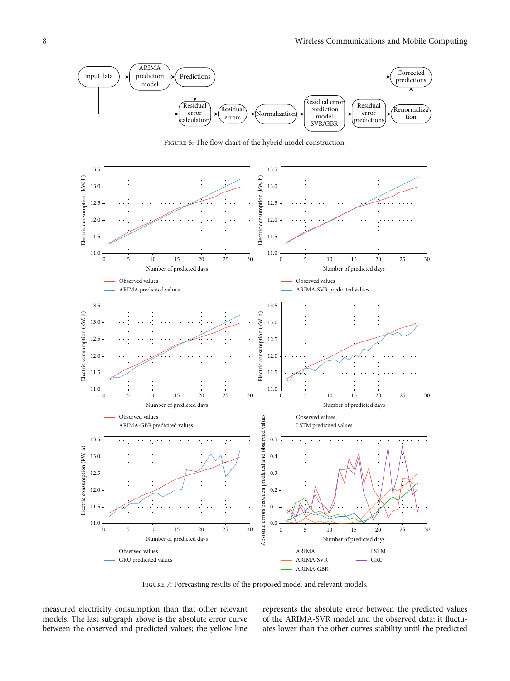<span id="page-7-0"></span>

FIGURE 6: The flow chart of the hybrid model construction.



FIGURE 7: Forecasting results of the proposed model and relevant models.

measured electricity consumption than that other relevant models. The last subgraph above is the absolute error curve between the observed and predicted values; the yellow line represents the absolute error between the predicted values of the ARIMA-SVR model and the observed data; it fluctuates lower than the other curves stability until the predicted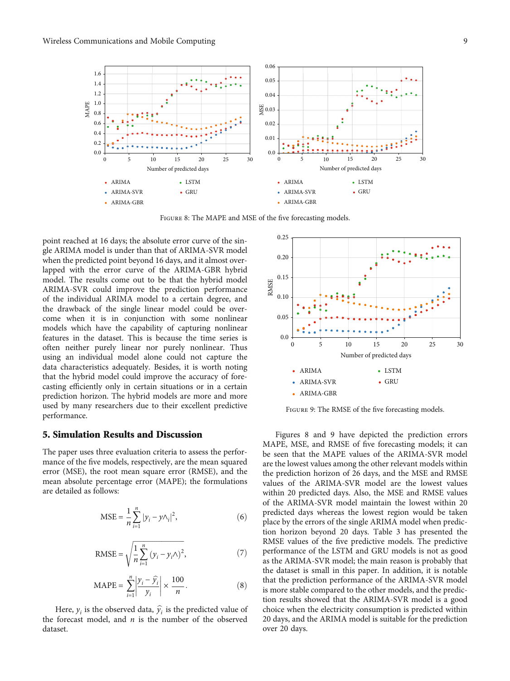<span id="page-8-0"></span>

Figure 8: The MAPE and MSE of the five forecasting models.

point reached at 16 days; the absolute error curve of the single ARIMA model is under than that of ARIMA-SVR model when the predicted point beyond 16 days, and it almost overlapped with the error curve of the ARIMA-GBR hybrid model. The results come out to be that the hybrid model ARIMA-SVR could improve the prediction performance of the individual ARIMA model to a certain degree, and the drawback of the single linear model could be overcome when it is in conjunction with some nonlinear models which have the capability of capturing nonlinear features in the dataset. This is because the time series is often neither purely linear nor purely nonlinear. Thus using an individual model alone could not capture the data characteristics adequately. Besides, it is worth noting that the hybrid model could improve the accuracy of forecasting efficiently only in certain situations or in a certain prediction horizon. The hybrid models are more and more used by many researchers due to their excellent predictive performance.

# 5. Simulation Results and Discussion

The paper uses three evaluation criteria to assess the performance of the five models, respectively, are the mean squared error (MSE), the root mean square error (RMSE), and the mean absolute percentage error (MAPE); the formulations are detailed as follows:

$$
MSE = \frac{1}{n} \sum_{i=1}^{n} |y_i - y \wedge_i|^2,
$$
 (6)

RMSE = 
$$
\sqrt{\frac{1}{n} \sum_{i=1}^{n} (y_i - y_i \wedge)^2},
$$
 (7)

$$
\text{MAPE} = \sum_{i=1}^{n} \left| \frac{y_i - \hat{y}_i}{y_i} \right| \times \frac{100}{n}.
$$
 (8)

Here,  $y_i$  is the observed data,  $\hat{y_i}$  is the predicted value of the forecast model, and *n* is the number of the observed dataset.



Figure 9: The RMSE of the five forecasting models.

Figures 8 and 9 have depicted the prediction errors MAPE, MSE, and RMSE of five forecasting models; it can be seen that the MAPE values of the ARIMA-SVR model are the lowest values among the other relevant models within the prediction horizon of 26 days, and the MSE and RMSE values of the ARIMA-SVR model are the lowest values within 20 predicted days. Also, the MSE and RMSE values of the ARIMA-SVR model maintain the lowest within 20 predicted days whereas the lowest region would be taken place by the errors of the single ARIMA model when prediction horizon beyond 20 days. Table [3](#page-9-0) has presented the RMSE values of the five predictive models. The predictive performance of the LSTM and GRU models is not as good as the ARIMA-SVR model; the main reason is probably that the dataset is small in this paper. In addition, it is notable that the prediction performance of the ARIMA-SVR model is more stable compared to the other models, and the prediction results showed that the ARIMA-SVR model is a good choice when the electricity consumption is predicted within 20 days, and the ARIMA model is suitable for the prediction over 20 days.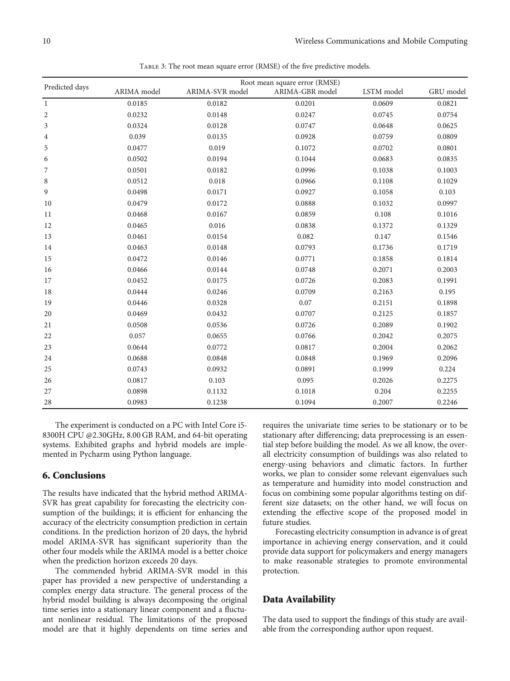<span id="page-9-0"></span>

| TABLE 3: The root mean square error (RMSE) of the five predictive models. |                               |                 |                 |            |           |  |  |
|---------------------------------------------------------------------------|-------------------------------|-----------------|-----------------|------------|-----------|--|--|
| Predicted days                                                            | Root mean square error (RMSE) |                 |                 |            |           |  |  |
|                                                                           | ARIMA model                   | ARIMA-SVR model | ARIMA-GBR model | LSTM model | GRU model |  |  |
| $\mathbf{1}$                                                              | 0.0185                        | 0.0182          | 0.0201          | 0.0609     | 0.0821    |  |  |
| 2                                                                         | 0.0232                        | 0.0148          | 0.0247          | 0.0745     | 0.0754    |  |  |
| 3                                                                         | 0.0324                        | 0.0128          | 0.0747          | 0.0648     | 0.0625    |  |  |
| 4                                                                         | 0.039                         | 0.0135          | 0.0928          | 0.0759     | 0.0809    |  |  |
| 5                                                                         | 0.0477                        | 0.019           | 0.1072          | 0.0702     | 0.0801    |  |  |
| 6                                                                         | 0.0502                        | 0.0194          | 0.1044          | 0.0683     | 0.0835    |  |  |
| 7                                                                         | 0.0501                        | 0.0182          | 0.0996          | 0.1038     | 0.1003    |  |  |
| 8                                                                         | 0.0512                        | 0.018           | 0.0966          | 0.1108     | 0.1029    |  |  |
| 9                                                                         | 0.0498                        | 0.0171          | 0.0927          | 0.1058     | 0.103     |  |  |
| 10                                                                        | 0.0479                        | 0.0172          | 0.0888          | 0.1032     | 0.0997    |  |  |
| 11                                                                        | 0.0468                        | 0.0167          | 0.0859          | 0.108      | 0.1016    |  |  |
| 12                                                                        | 0.0465                        | 0.016           | 0.0838          | 0.1372     | 0.1329    |  |  |
| 13                                                                        | 0.0461                        | 0.0154          | 0.082           | 0.147      | 0.1546    |  |  |
| 14                                                                        | 0.0463                        | 0.0148          | 0.0793          | 0.1736     | 0.1719    |  |  |
| 15                                                                        | 0.0472                        | 0.0146          | 0.0771          | 0.1858     | 0.1814    |  |  |
| 16                                                                        | 0.0466                        | 0.0144          | 0.0748          | 0.2071     | 0.2003    |  |  |
| 17                                                                        | 0.0452                        | 0.0175          | 0.0726          | 0.2083     | 0.1991    |  |  |
| 18                                                                        | 0.0444                        | 0.0246          | 0.0709          | 0.2163     | 0.195     |  |  |
| 19                                                                        | 0.0446                        | 0.0328          | $0.07\,$        | 0.2151     | 0.1898    |  |  |
| 20                                                                        | 0.0469                        | 0.0432          | 0.0707          | 0.2125     | 0.1857    |  |  |
| 21                                                                        | 0.0508                        | 0.0536          | 0.0726          | 0.2089     | 0.1902    |  |  |
| 22                                                                        | 0.057                         | 0.0655          | 0.0766          | 0.2042     | 0.2075    |  |  |
| 23                                                                        | 0.0644                        | 0.0772          | 0.0817          | 0.2004     | 0.2062    |  |  |
| 24                                                                        | 0.0688                        | 0.0848          | 0.0848          | 0.1969     | 0.2096    |  |  |
| 25                                                                        | 0.0743                        | 0.0932          | 0.0891          | 0.1999     | 0.224     |  |  |
| 26                                                                        | 0.0817                        | 0.103           | 0.095           | 0.2026     | 0.2275    |  |  |
| 27                                                                        | 0.0898                        | 0.1132          | 0.1018          | 0.204      | 0.2255    |  |  |
| 28                                                                        | 0.0983                        | 0.1238          | 0.1094          | 0.2007     | 0.2246    |  |  |

The experiment is conducted on a PC with Intel Core i5- 8300H CPU @2.30GHz, 8.00 GB RAM, and 64-bit operating systems. Exhibited graphs and hybrid models are implemented in Pycharm using Python language.

#### 6. Conclusions

The results have indicated that the hybrid method ARIMA-SVR has great capability for forecasting the electricity consumption of the buildings; it is efficient for enhancing the accuracy of the electricity consumption prediction in certain conditions. In the prediction horizon of 20 days, the hybrid model ARIMA-SVR has significant superiority than the other four models while the ARIMA model is a better choice when the prediction horizon exceeds 20 days.

The commended hybrid ARIMA-SVR model in this paper has provided a new perspective of understanding a complex energy data structure. The general process of the hybrid model building is always decomposing the original time series into a stationary linear component and a fluctuant nonlinear residual. The limitations of the proposed model are that it highly dependents on time series and requires the univariate time series to be stationary or to be stationary after differencing; data preprocessing is an essential step before building the model. As we all know, the overall electricity consumption of buildings was also related to energy-using behaviors and climatic factors. In further works, we plan to consider some relevant eigenvalues such as temperature and humidity into model construction and focus on combining some popular algorithms testing on different size datasets; on the other hand, we will focus on extending the effective scope of the proposed model in future studies.

Forecasting electricity consumption in advance is of great importance in achieving energy conservation, and it could provide data support for policymakers and energy managers to make reasonable strategies to promote environmental protection.

# Data Availability

The data used to support the findings of this study are available from the corresponding author upon request.